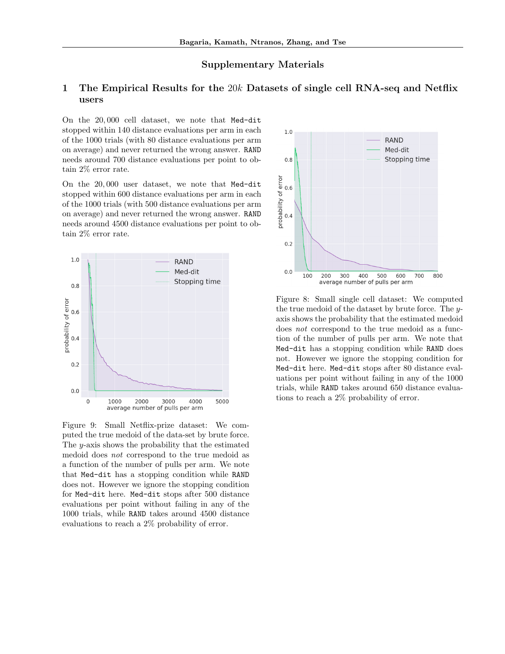### Supplementary Materials

# 1 The Empirical Results for the 20*k* Datasets of single cell RNA-seq and Netflix users

On the 20*,* 000 cell dataset, we note that Med-dit stopped within 140 distance evaluations per arm in each of the 1000 trials (with 80 distance evaluations per arm on average) and never returned the wrong answer. RAND needs around 700 distance evaluations per point to obtain 2% error rate.

On the 20*,* 000 user dataset, we note that Med-dit stopped within 600 distance evaluations per arm in each of the 1000 trials (with 500 distance evaluations per arm on average) and never returned the wrong answer. RAND needs around 4500 distance evaluations per point to obtain 2% error rate.



Figure 9: Small Netflix-prize dataset: We computed the true medoid of the data-set by brute force. The *y*-axis shows the probability that the estimated medoid does *not* correspond to the true medoid as a function of the number of pulls per arm. We note that Med-dit has a stopping condition while RAND does not. However we ignore the stopping condition for Med-dit here. Med-dit stops after 500 distance evaluations per point without failing in any of the 1000 trials, while RAND takes around 4500 distance evaluations to reach a 2% probability of error.



Figure 8: Small single cell dataset: We computed the true medoid of the dataset by brute force. The *y*axis shows the probability that the estimated medoid does *not* correspond to the true medoid as a function of the number of pulls per arm. We note that Med-dit has a stopping condition while RAND does not. However we ignore the stopping condition for Med-dit here. Med-dit stops after 80 distance evaluations per point without failing in any of the 1000 trials, while RAND takes around 650 distance evaluations to reach a 2% probability of error.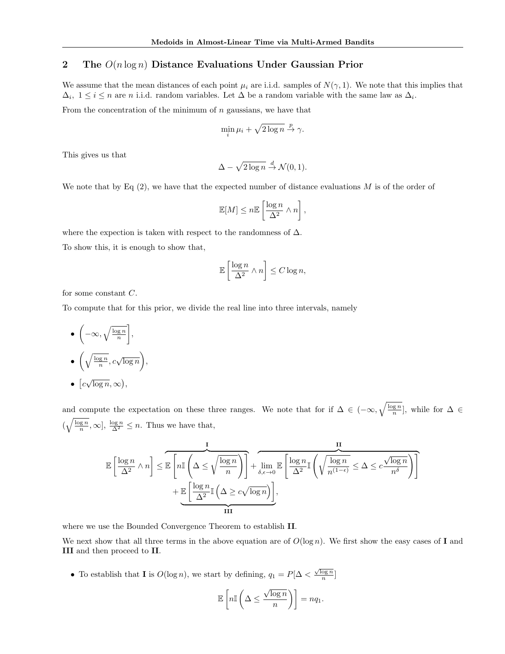## 2 The *O*(*n* log *n*) Distance Evaluations Under Gaussian Prior

We assume that the mean distances of each point  $\mu_i$  are i.i.d. samples of  $N(\gamma, 1)$ . We note that this implies that  $\Delta_i$ ,  $1 \leq i \leq n$  are *n* i.i.d. random variables. Let  $\Delta$  be a random variable with the same law as  $\Delta_i$ .

From the concentration of the minimum of *n* gaussians, we have that

$$
\min_i \mu_i + \sqrt{2\log n} \xrightarrow{p} \gamma.
$$

This gives us that

$$
\Delta - \sqrt{2 \log n} \stackrel{d}{\to} \mathcal{N}(0,1).
$$

We note that by Eq (2), we have that the expected number of distance evaluations *M* is of the order of

$$
\mathbb{E}[M] \le n \mathbb{E}\left[\frac{\log n}{\Delta^2} \wedge n\right],
$$

where the expection is taken with respect to the randomness of  $\Delta$ .

To show this, it is enough to show that,

$$
\mathbb{E}\left[\frac{\log n}{\Delta^2} \wedge n\right] \le C \log n,
$$

for some constant *C*.

To compute that for this prior, we divide the real line into three intervals, namely

\n- \n
$$
\left(-\infty, \sqrt{\frac{\log n}{n}}\right],
$$
\n
\n- \n
$$
\left(\sqrt{\frac{\log n}{n}}, c\sqrt{\log n}\right),
$$
\n
\n- \n
$$
\left[c\sqrt{\log n}, \infty\right),
$$
\n
\n

and compute the expectation on these three ranges. We note that for if  $\Delta \in (-\infty, \sqrt{\frac{\log n}{n}}]$ , while for  $\Delta \in$  $(\sqrt{\frac{\log n}{n}}, \infty], \frac{\log n}{\Delta^2} \leq n$ . Thus we have that,

$$
\mathbb{E}\left[\frac{\log n}{\Delta^2} \wedge n\right] \le \mathbb{E}\left[n\mathbb{I}\left(\Delta \le \sqrt{\frac{\log n}{n}}\right)\right] + \lim_{\delta,\epsilon \to 0} \mathbb{E}\left[\frac{\log n}{\Delta^2} \mathbb{I}\left(\sqrt{\frac{\log n}{n^{(1-\epsilon)}}} \le \Delta \le c\frac{\sqrt{\log n}}{n^{\delta}}\right)\right] + \underbrace{\mathbb{E}\left[\frac{\log n}{\Delta^2} \mathbb{I}\left(\Delta \ge c\sqrt{\log n}\right)\right]}_{\text{III}},
$$

where we use the Bounded Convergence Theorem to establish II.

We next show that all three terms in the above equation are of  $O(\log n)$ . We first show the easy cases of **I** and III and then proceed to II.

• To establish that **I** is  $O(\log n)$ , we start by defining,  $q_1 = P[\Delta < \frac{\sqrt{\log n}}{n}]$ 

$$
\mathbb{E}\left[n\mathbb{I}\left(\Delta \leq \frac{\sqrt{\log n}}{n}\right)\right] = nq_1.
$$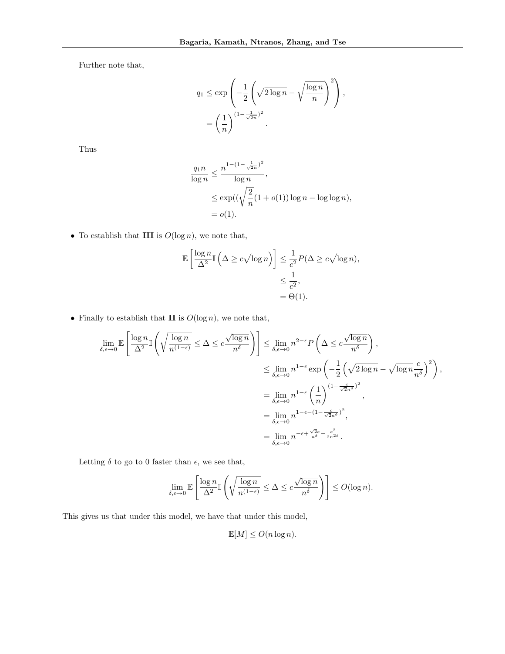Further note that,

$$
q_1 \le \exp\left(-\frac{1}{2}\left(\sqrt{2\log n} - \sqrt{\frac{\log n}{n}}\right)^2\right),
$$
  
= 
$$
\left(\frac{1}{n}\right)^{(1-\frac{1}{\sqrt{2n}})^2}.
$$

Thus

$$
\frac{q_1 n}{\log n} \le \frac{n^{1 - (1 - \frac{1}{\sqrt{2n}})^2}}{\log n},
$$
  
 
$$
\le \exp((\sqrt{\frac{2}{n}}(1 + o(1))\log n - \log \log n)),
$$
  
=  $o(1).$ 

*•* To establish that III is *O*(log *n*), we note that,

$$
\mathbb{E}\left[\frac{\log n}{\Delta^2} \mathbb{I}\left(\Delta \ge c\sqrt{\log n}\right)\right] \le \frac{1}{c^2} P(\Delta \ge c\sqrt{\log n}),
$$
  

$$
\le \frac{1}{c^2},
$$
  

$$
= \Theta(1).
$$

• Finally to establish that **II** is  $O(\log n)$ , we note that,

$$
\lim_{\delta,\epsilon \to 0} \mathbb{E} \left[ \frac{\log n}{\Delta^2} \mathbb{I} \left( \sqrt{\frac{\log n}{n^{(1-\epsilon)}}} \leq \Delta \leq c \frac{\sqrt{\log n}}{n^{\delta}} \right) \right] \leq \lim_{\delta,\epsilon \to 0} n^{2-\epsilon} P \left( \Delta \leq c \frac{\sqrt{\log n}}{n^{\delta}} \right),
$$
  

$$
\leq \lim_{\delta,\epsilon \to 0} n^{1-\epsilon} \exp \left( -\frac{1}{2} \left( \sqrt{2 \log n} - \sqrt{\log n} \frac{c}{n^{\delta}} \right)^2 \right),
$$
  

$$
= \lim_{\delta,\epsilon \to 0} n^{1-\epsilon} \left( \frac{1}{n} \right)^{(1-\frac{c}{\sqrt{2}n^{\delta}})^2},
$$
  

$$
= \lim_{\delta,\epsilon \to 0} n^{1-\epsilon - (1-\frac{c}{\sqrt{2}n^{\delta}})^2},
$$
  

$$
= \lim_{\delta,\epsilon \to 0} n^{-\epsilon + \frac{\sqrt{2}c}{n^{\delta}} - \frac{c^2}{2n^{2\delta}}}.
$$

Letting  $\delta$  to go to  $0$  faster than  $\epsilon,$  we see that,

$$
\lim_{\delta,\epsilon \to 0} \mathbb{E}\left[\frac{\log n}{\Delta^2} \mathbb{I}\left(\sqrt{\frac{\log n}{n^{(1-\epsilon)}}} \le \Delta \le c \frac{\sqrt{\log n}}{n^{\delta}}\right)\right] \le O(\log n).
$$

This gives us that under this model, we have that under this model,

$$
\mathbb{E}[M] \le O(n \log n).
$$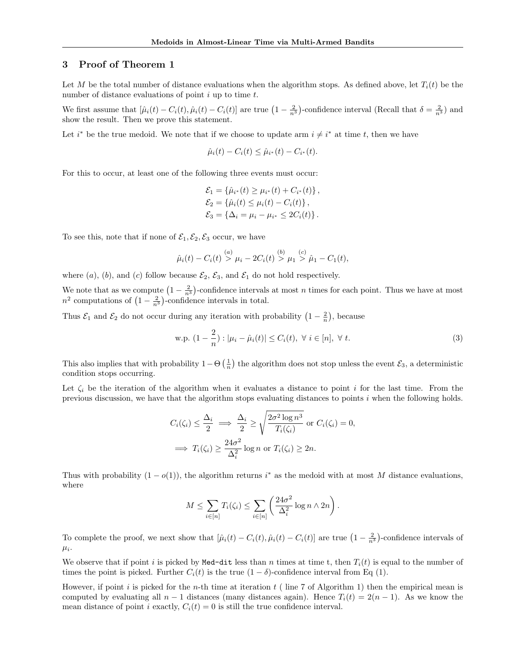### 3 Proof of Theorem 1

Let *M* be the total number of distance evaluations when the algorithm stops. As defined above, let  $T_i(t)$  be the number of distance evaluations of point *i* up to time *t*.

We first assume that  $[\hat{\mu}_i(t) - C_i(t), \hat{\mu}_i(t) - C_i(t)]$  are true  $(1 - \frac{2}{n^3})$ -confidence interval (Recall that  $\delta = \frac{2}{n^3}$ ) and show the result. Then we prove this statement.

Let *i*<sup>\*</sup> be the true medoid. We note that if we choose to update arm  $i \neq i^*$  at time *t*, then we have

$$
\hat{\mu}_i(t) - C_i(t) \le \hat{\mu}_{i^*}(t) - C_{i^*}(t).
$$

For this to occur, at least one of the following three events must occur:

$$
\mathcal{E}_1 = \{\hat{\mu}_{i^*}(t) \ge \mu_{i^*}(t) + C_{i^*}(t)\}, \n\mathcal{E}_2 = \{\hat{\mu}_i(t) \le \mu_i(t) - C_i(t)\}, \n\mathcal{E}_3 = \{\Delta_i = \mu_i - \mu_{i^*} \le 2C_i(t)\}.
$$

To see this, note that if none of  $\mathcal{E}_1, \mathcal{E}_2, \mathcal{E}_3$  occur, we have

$$
\hat{\mu}_i(t) - C_i(t) \stackrel{(a)}{>} \mu_i - 2C_i(t) \stackrel{(b)}{>} \mu_1 \stackrel{(c)}{>} \hat{\mu}_1 - C_1(t),
$$

where  $(a)$ ,  $(b)$ , and  $(c)$  follow because  $\mathcal{E}_2$ ,  $\mathcal{E}_3$ , and  $\mathcal{E}_1$  do not hold respectively.

We note that as we compute  $\left(1-\frac{2}{n^3}\right)$ -confidence intervals at most *n* times for each point. Thus we have at most  $n^2$  computations of  $\left(1 - \frac{2}{n^3}\right)$ -confidence intervals in total.

Thus  $\mathcal{E}_1$  and  $\mathcal{E}_2$  do not occur during any iteration with probability  $\left(1 - \frac{2}{n}\right)$ , because

$$
\text{w.p. } (1 - \frac{2}{n}) : |\mu_i - \hat{\mu}_i(t)| \le C_i(t), \ \forall \ i \in [n], \ \forall \ t.
$$

This also implies that with probability  $1 - \Theta\left(\frac{1}{n}\right)$  the algorithm does not stop unless the event  $\mathcal{E}_3$ , a deterministic condition stops occurring.

Let  $\zeta_i$  be the iteration of the algorithm when it evaluates a distance to point *i* for the last time. From the previous discussion, we have that the algorithm stops evaluating distances to points *i* when the following holds.

$$
C_i(\zeta_i) \le \frac{\Delta_i}{2} \implies \frac{\Delta_i}{2} \ge \sqrt{\frac{2\sigma^2 \log n^3}{T_i(\zeta_i)}} \text{ or } C_i(\zeta_i) = 0,
$$
  

$$
\implies T_i(\zeta_i) \ge \frac{24\sigma^2}{\Delta_i^2} \log n \text{ or } T_i(\zeta_i) \ge 2n.
$$

Thus with probability  $(1 - o(1))$ , the algorithm returns  $i^*$  as the medoid with at most *M* distance evaluations, where

$$
M \leq \sum_{i \in [n]} T_i(\zeta_i) \leq \sum_{i \in [n]} \left( \frac{24\sigma^2}{\Delta_i^2} \log n \wedge 2n \right).
$$

To complete the proof, we next show that  $[\hat{\mu}_i(t) - C_i(t), \hat{\mu}_i(t) - C_i(t)]$  are true  $(1 - \frac{2}{n^3})$ -confidence intervals of  $\mu_i$ .

We observe that if point *i* is picked by Med-dit less than *n* times at time t, then  $T_i(t)$  is equal to the number of times the point is picked. Further  $C_i(t)$  is the true  $(1 - \delta)$ -confidence interval from Eq (1).

However, if point *i* is picked for the *n*-th time at iteration *t* ( line 7 of Algorithm 1) then the empirical mean is computed by evaluating all  $n-1$  distances (many distances again). Hence  $T_i(t) = 2(n-1)$ . As we know the mean distance of point *i* exactly,  $C_i(t) = 0$  is still the true confidence interval.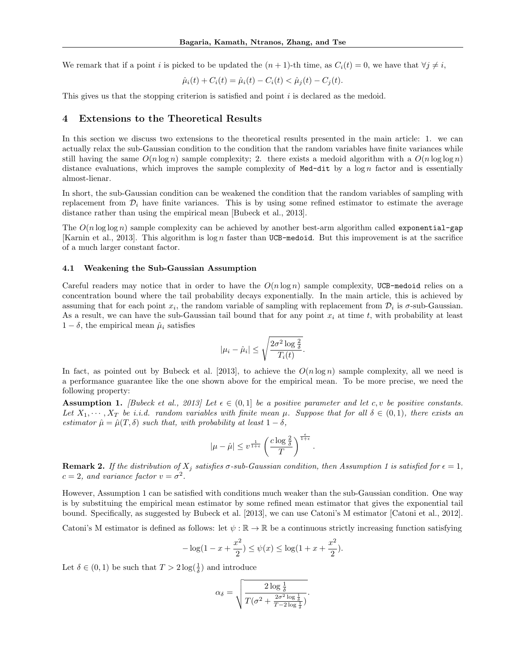We remark that if a point *i* is picked to be updated the  $(n + 1)$ -th time, as  $C_i(t) = 0$ , we have that  $\forall j \neq i$ ,

$$
\hat{\mu}_i(t) + C_i(t) = \hat{\mu}_i(t) - C_i(t) < \hat{\mu}_j(t) - C_j(t).
$$

This gives us that the stopping criterion is satisfied and point *i* is declared as the medoid.

#### 4 Extensions to the Theoretical Results

In this section we discuss two extensions to the theoretical results presented in the main article: 1. we can actually relax the sub-Gaussian condition to the condition that the random variables have finite variances while still having the same  $O(n \log n)$  sample complexity; 2. there exists a medoid algorithm with a  $O(n \log \log n)$ distance evaluations, which improves the sample complexity of Med-dit by a log *n* factor and is essentially almost-lienar.

In short, the sub-Gaussian condition can be weakened the condition that the random variables of sampling with replacement from  $\mathcal{D}_i$  have finite variances. This is by using some refined estimator to estimate the average distance rather than using the empirical mean [Bubeck et al., 2013].

The  $O(n \log \log n)$  sample complexity can be achieved by another best-arm algorithm called exponential-gap [Karnin et al., 2013]. This algorithm is log *n* faster than UCB-medoid. But this improvement is at the sacrifice of a much larger constant factor.

#### 4.1 Weakening the Sub-Gaussian Assumption

Careful readers may notice that in order to have the  $O(n \log n)$  sample complexity, UCB-medoid relies on a concentration bound where the tail probability decays exponentially. In the main article, this is achieved by assuming that for each point  $x_i$ , the random variable of sampling with replacement from  $\mathcal{D}_i$  is  $\sigma$ -sub-Gaussian. As a result, we can have the sub-Gaussian tail bound that for any point *x<sup>i</sup>* at time *t*, with probability at least  $1 - \delta$ , the empirical mean  $\hat{\mu}_i$  satisfies

$$
|\mu_i - \hat{\mu}_i| \le \sqrt{\frac{2\sigma^2 \log \frac{2}{\delta}}{T_i(t)}}.
$$

In fact, as pointed out by Bubeck et al. [2013], to achieve the  $O(n \log n)$  sample complexity, all we need is a performance guarantee like the one shown above for the empirical mean. To be more precise, we need the following property:

Assumption 1. *[Bubeck et al., 2013] Let*  $\epsilon \in (0,1]$  *be a positive parameter and let c, v be positive constants. Let*  $X_1, \dots, X_T$  *be i.i.d.* random variables with finite mean  $\mu$ . Suppose that for all  $\delta \in (0,1)$ *, there exists an estimator*  $\hat{\mu} = \hat{\mu}(T, \delta)$  *such that, with probability at least*  $1 - \delta$ ,

$$
|\mu - \hat{\mu}| \leq v^{\frac{1}{1+\epsilon}} \left(\frac{c\log \frac{2}{\delta}}{T}\right)^{\frac{\epsilon}{1+\epsilon}}
$$

*.*

**Remark 2.** If the distribution of  $X_j$  satisfies  $\sigma$ -sub-Gaussian condition, then Assumption 1 is satisfied for  $\epsilon = 1$ ,  $c = 2$ *, and variance factor*  $v = \sigma^2$ *.* 

However, Assumption 1 can be satisfied with conditions much weaker than the sub-Gaussian condition. One way is by substituing the empirical mean estimator by some refined mean estimator that gives the exponential tail bound. Specifically, as suggested by Bubeck et al. [2013], we can use Catoni's M estimator [Catoni et al., 2012].

Catoni's M estimator is defined as follows: let  $\psi : \mathbb{R} \to \mathbb{R}$  be a continuous strictly increasing function satisfying

$$
-\log(1-x+\frac{x^2}{2}) \le \psi(x) \le \log(1+x+\frac{x^2}{2}).
$$

Let  $\delta \in (0,1)$  be such that  $T > 2 \log(\frac{1}{\delta})$  and introduce

$$
\alpha_{\delta} = \sqrt{\frac{2\log\frac{1}{\delta}}{T(\sigma^2 + \frac{2\sigma^2\log\frac{1}{\delta}}{T-2\log\frac{1}{\delta}})}}.
$$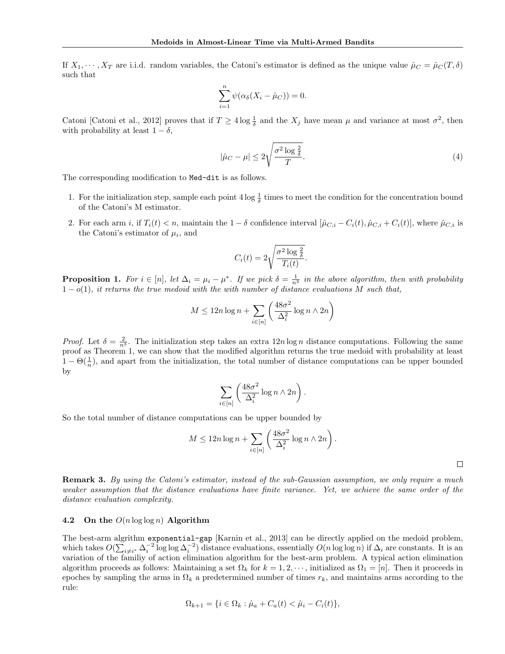If  $X_1, \dots, X_T$  are i.i.d. random variables, the Catoni's estimator is defined as the unique value  $\hat{\mu}_C = \hat{\mu}_C(T, \delta)$ such that

$$
\sum_{i=1}^{n} \psi(\alpha_{\delta}(X_i - \hat{\mu}_C)) = 0.
$$

Catoni [Catoni et al., 2012] proves that if  $T \geq 4 \log \frac{1}{\delta}$  and the  $X_j$  have mean  $\mu$  and variance at most  $\sigma^2$ , then with probability at least  $1 - \delta$ ,

$$
|\hat{\mu}_C - \mu| \le 2\sqrt{\frac{\sigma^2 \log \frac{2}{\delta}}{T}}.\tag{4}
$$

The corresponding modification to Med-dit is as follows.

- 1. For the initialization step, sample each point  $4 \log \frac{1}{\delta}$  times to meet the condition for the concentration bound of the Catoni's M estimator.
- 2. For each arm i, if  $T_i(t) < n$ , maintain the  $1 \delta$  confidence interval  $[\hat{\mu}_{C,i} C_i(t), \hat{\mu}_{C,i} + C_i(t)]$ , where  $\hat{\mu}_{C,i}$  is the Catoni's estimator of  $\mu_i$ , and

$$
C_i(t) = 2\sqrt{\frac{\sigma^2 \log \frac{2}{\delta}}{T_i(t)}}.
$$

**Proposition 1.** For  $i \in [n]$ , let  $\Delta_i = \mu_i - \mu^*$ . If we pick  $\delta = \frac{1}{n^3}$  in the above algorithm, then with probability  $1 - o(1)$ , it returns the true medoid with the with number of distance evaluations M such that,

$$
M \le 12n \log n + \sum_{i \in [n]} \left( \frac{48\sigma^2}{\Delta_i^2} \log n \wedge 2n \right)
$$

*Proof.* Let  $\delta = \frac{2}{n^3}$ . The initialization step takes an extra 12*n* log *n* distance computations. Following the same proof as Theorem 1, we can show that the modified algorithm returns the true medoid with probability at least  $1 - \Theta(\frac{1}{n})$ , and apart from the initialization, the total number of distance computations can be upper bounded by

$$
\sum_{i \in [n]} \left( \frac{48\sigma^2}{\Delta_i^2} \log n \wedge 2n \right).
$$

So the total number of distance computations can be upper bounded by

$$
M \le 12n \log n + \sum_{i \in [n]} \left( \frac{48\sigma^2}{\Delta_i^2} \log n \wedge 2n \right).
$$

 $\Box$ 

Remark 3. *By using the Catoni's estimator, instead of the sub-Gaussian assumption, we only require a much weaker assumption that the distance evaluations have finite variance. Yet, we achieve the same order of the distance evaluation complexity.*

#### 4.2 On the *O*(*n* log log *n*) Algorithm

The best-arm algrithm exponential-gap [Karnin et al., 2013] can be directly applied on the medoid problem, which takes  $O(\sum_{i \neq i^*} \Delta_i^{-2} \log \log \Delta_i^{-2})$  distance evaluations, essentially  $O(n \log \log n)$  if  $\Delta_i$  are constants. It is an variation of the familiy of action elimination algorithm for the best-arm problem. A typical action elimination algorithm proceeds as follows: Maintaining a set  $\Omega_k$  for  $k = 1, 2, \cdots$ , initialized as  $\Omega_1 = [n]$ . Then it proceeds in epoches by sampling the arms in  $\Omega_k$  a predetermined number of times  $r_k$ , and maintains arms according to the rule:

$$
\Omega_{k+1} = \{ i \in \Omega_k : \hat{\mu}_a + C_a(t) < \hat{\mu}_i - C_i(t) \},
$$